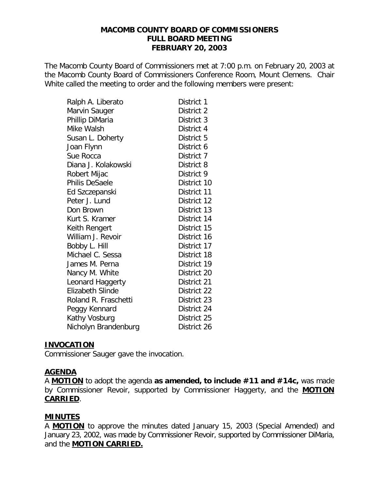#### **MACOMB COUNTY BOARD OF COMMISSIONERS FULL BOARD MEETING FEBRUARY 20, 2003**

The Macomb County Board of Commissioners met at 7:00 p.m. on February 20, 2003 at the Macomb County Board of Commissioners Conference Room, Mount Clemens. Chair White called the meeting to order and the following members were present:

| Ralph A. Liberato       | District 1  |
|-------------------------|-------------|
| Marvin Sauger           | District 2  |
| Phillip DiMaria         | District 3  |
| Mike Walsh              | District 4  |
| Susan L. Doherty        | District 5  |
| Joan Flynn              | District 6  |
| Sue Rocca               | District 7  |
| Diana J. Kolakowski     | District 8  |
| Robert Mijac            | District 9  |
| <b>Philis DeSaele</b>   | District 10 |
| Ed Szczepanski          | District 11 |
| Peter J. Lund           | District 12 |
| Don Brown               | District 13 |
| Kurt S. Kramer          | District 14 |
| Keith Rengert           | District 15 |
| William J. Revoir       | District 16 |
| Bobby L. Hill           | District 17 |
| Michael C. Sessa        | District 18 |
| James M. Perna          | District 19 |
| Nancy M. White          | District 20 |
| Leonard Haggerty        | District 21 |
| <b>Elizabeth Slinde</b> | District 22 |
| Roland R. Fraschetti    | District 23 |
| Peggy Kennard           | District 24 |
| Kathy Vosburg           | District 25 |
| Nicholyn Brandenburg    | District 26 |

#### **INVOCATION**

Commissioner Sauger gave the invocation.

#### **AGENDA**

A **MOTION** to adopt the agenda **as amended, to include #11 and #14c,** was made by Commissioner Revoir, supported by Commissioner Haggerty, and the **MOTION CARRIED**.

# **MINUTES**

A **MOTION** to approve the minutes dated January 15, 2003 (Special Amended) and January 23, 2002, was made by Commissioner Revoir, supported by Commissioner DiMaria, and the **MOTION CARRIED.**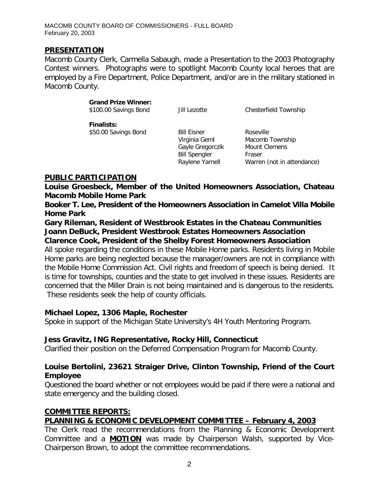#### **PRESENTATION**

Macomb County Clerk, Carmella Sabaugh, made a Presentation to the 2003 Photography Contest winners. Photographs were to spotlight Macomb County local heroes that are employed by a Fire Department, Police Department, and/or are in the military stationed in Macomb County.

#### *Grand Prize Winner:*

*\$100.00 Savings Bond* Jill Lezotte Chesterfield Township

*Finalists: \$50.00 Savings Bond* Bill Eisner Roseville

 Virginia Geml Macomb Township Gayle Gregorczik Mount Clemens Bill Spengler Fraser

Raylene Yarnell Warren (*not in attendance*)

### **PUBLIC PARTICIPATION**

*Louise Groesbeck, Member of the United Homeowners Association, Chateau Macomb Mobile Home Park*

*Booker T. Lee, President of the Homeowners Association in Camelot Villa Mobile Home Park*

*Gary Rileman, Resident of Westbrook Estates in the Chateau Communities Joann DeBuck, President Westbrook Estates Homeowners Association Clarence Cook, President of the Shelby Forest Homeowners Association*

All spoke regarding the conditions in these Mobile Home parks. Residents living in Mobile Home parks are being neglected because the manager/owners are not in compliance with the Mobile Home Commission Act. Civil rights and freedom of speech is being denied. It is time for townships, counties and the state to get involved in these issues. Residents are concerned that the Miller Drain is not being maintained and is dangerous to the residents. These residents seek the help of county officials.

#### *Michael Lopez, 1306 Maple, Rochester*

Spoke in support of the Michigan State University's 4H Youth Mentoring Program.

#### *Jess Gravitz, ING Representative, Rocky Hill, Connecticut*

Clarified their position on the Deferred Compensation Program for Macomb County.

# *Louise Bertolini, 23621 Straiger Drive, Clinton Township, Friend of the Court Employee*

Questioned the board whether or not employees would be paid if there were a national and state emergency and the building closed.

#### **COMMITTEE REPORTS:**

# *PLANNING & ECONOMIC DEVELOPMENT COMMITTEE – February 4, 2003*

The Clerk read the recommendations from the Planning & Economic Development Committee and a **MOTION** was made by Chairperson Walsh, supported by Vice-Chairperson Brown, to adopt the committee recommendations.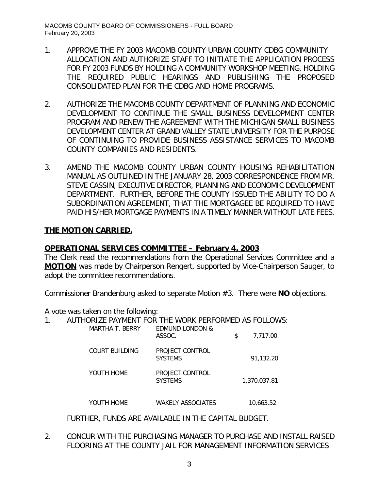- 1. APPROVE THE FY 2003 MACOMB COUNTY URBAN COUNTY CDBG COMMUNITY ALLOCATION AND AUTHORIZE STAFF TO INITIATE THE APPLICATION PROCESS FOR FY 2003 FUNDS BY HOLDING A COMMUNITY WORKSHOP MEETING, HOLDING THE REQUIRED PUBLIC HEARINGS AND PUBLISHING THE PROPOSED CONSOLIDATED PLAN FOR THE CDBG AND HOME PROGRAMS.
- 2. AUTHORIZE THE MACOMB COUNTY DEPARTMENT OF PLANNING AND ECONOMIC DEVELOPMENT TO CONTINUE THE SMALL BUSINESS DEVELOPMENT CENTER PROGRAM AND RENEW THE AGREEMENT WITH THE MICHIGAN SMALL BUSINESS DEVELOPMENT CENTER AT GRAND VALLEY STATE UNIVERSITY FOR THE PURPOSE OF CONTINUING TO PROVIDE BUSINESS ASSISTANCE SERVICES TO MACOMB COUNTY COMPANIES AND RESIDENTS.
- 3. AMEND THE MACOMB COUNTY URBAN COUNTY HOUSING REHABILITATION MANUAL AS OUTLINED IN THE JANUARY 28, 2003 CORRESPONDENCE FROM MR. STEVE CASSIN, EXECUTIVE DIRECTOR, PLANNING AND ECONOMIC DEVELOPMENT DEPARTMENT. FURTHER, BEFORE THE COUNTY ISSUED THE ABILITY TO DO A SUBORDINATION AGREEMENT, THAT THE MORTGAGEE BE REQUIRED TO HAVE PAID HIS/HER MORTGAGE PAYMENTS IN A TIMELY MANNER WITHOUT LATE FEES.

# **THE MOTION CARRIED.**

# *OPERATIONAL SERVICES COMMITTEE – February 4, 2003*

The Clerk read the recommendations from the Operational Services Committee and a **MOTION** was made by Chairperson Rengert, supported by Vice-Chairperson Sauger, to adopt the committee recommendations.

Commissioner Brandenburg asked to separate Motion #3. There were **NO** objections.

A vote was taken on the following:

| AUTHORIZE PAYMENT FOR THE WORK PERFORMED AS FOLLOWS:<br><b>MARTHA T. BERRY</b> | <b>EDMUND LONDON &amp;</b>        |                |
|--------------------------------------------------------------------------------|-----------------------------------|----------------|
|                                                                                | ASSOC.                            | \$<br>7,717.00 |
| COURT BUILDING                                                                 | PROJECT CONTROL<br><b>SYSTEMS</b> | 91.132.20      |
| YOUTH HOME                                                                     | PROJECT CONTROL<br><b>SYSTEMS</b> | 1,370,037.81   |
| YOUTH HOME                                                                     | WAKELY ASSOCIATES                 | 10,663.52      |

FURTHER, FUNDS ARE AVAILABLE IN THE CAPITAL BUDGET.

2. CONCUR WITH THE PURCHASING MANAGER TO PURCHASE AND INSTALL RAISED FLOORING AT THE COUNTY JAIL FOR MANAGEMENT INFORMATION SERVICES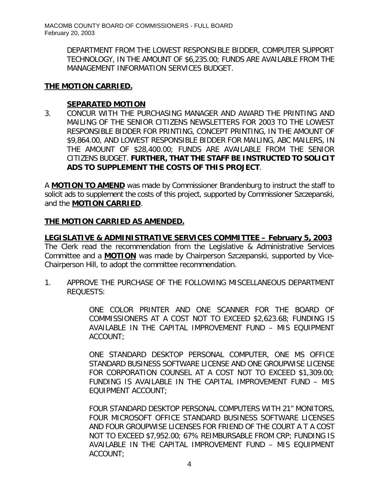> DEPARTMENT FROM THE LOWEST RESPONSIBLE BIDDER, COMPUTER SUPPORT TECHNOLOGY, IN THE AMOUNT OF \$6,235.00; FUNDS ARE AVAILABLE FROM THE MANAGEMENT INFORMATION SERVICES BUDGET.

#### **THE MOTION CARRIED.**

#### **SEPARATED MOTION**

3. CONCUR WITH THE PURCHASING MANAGER AND AWARD THE PRINTING AND MAILING OF THE SENIOR CITIZENS NEWSLETTERS FOR 2003 TO THE LOWEST RESPONSIBLE BIDDER FOR PRINTING, CONCEPT PRINTING, IN THE AMOUNT OF \$9,864.00, AND LOWEST RESPONSIBLE BIDDER FOR MAILING, ABC MAILERS, IN THE AMOUNT OF \$28,400.00; FUNDS ARE AVAILABLE FROM THE SENIOR CITIZENS BUDGET. *FURTHER, THAT THE STAFF BE INSTRUCTED TO SOLICIT ADS TO SUPPLEMENT THE COSTS OF THIS PROJECT*.

A **MOTION TO AMEND** was made by Commissioner Brandenburg to instruct the staff to solicit ads to supplement the costs of this project, supported by Commissioner Szczepanski, and the **MOTION CARRIED**.

# **THE MOTION CARRIED AS AMENDED.**

*LEGISLATIVE & ADMINISTRATIVE SERVICES COMMITTEE – February 5, 2003*

The Clerk read the recommendation from the Legislative & Administrative Services Committee and a **MOTION** was made by Chairperson Szczepanski, supported by Vice-Chairperson Hill, to adopt the committee recommendation.

1. APPROVE THE PURCHASE OF THE FOLLOWING MISCELLANEOUS DEPARTMENT REQUESTS:

> ONE COLOR PRINTER AND ONE SCANNER FOR THE BOARD OF COMMISSIONERS AT A COST NOT TO EXCEED \$2,623.68; FUNDING IS AVAILABLE IN THE CAPITAL IMPROVEMENT FUND – MIS EQUIPMENT ACCOUNT;

> ONE STANDARD DESKTOP PERSONAL COMPUTER, ONE MS OFFICE STANDARD BUSINESS SOFTWARE LICENSE AND ONE GROUPWISE LICENSE FOR CORPORATION COUNSEL AT A COST NOT TO EXCEED \$1,309.00; FUNDING IS AVAILABLE IN THE CAPITAL IMPROVEMENT FUND – MIS EQUIPMENT ACCOUNT;

> FOUR STANDARD DESKTOP PERSONAL COMPUTERS WITH 21" MONITORS, FOUR MICROSOFT OFFICE STANDARD BUSINESS SOFTWARE LICENSES AND FOUR GROUPWISE LICENSES FOR FRIEND OF THE COURT A T A COST NOT TO EXCEED \$7,952.00; 67% REIMBURSABLE FROM CRP; FUNDING IS AVAILABLE IN THE CAPITAL IMPROVEMENT FUND – MIS EQUIPMENT ACCOUNT;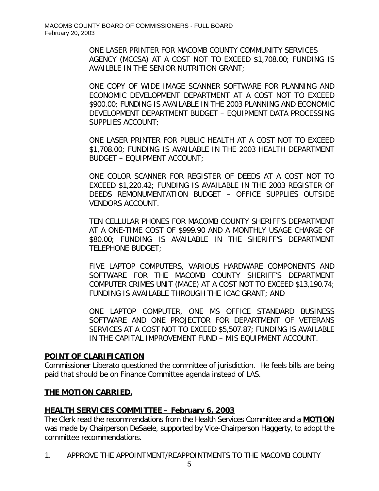ONE LASER PRINTER FOR MACOMB COUNTY COMMUNITY SERVICES AGENCY (MCCSA) AT A COST NOT TO EXCEED \$1,708.00; FUNDING IS AVAILBLE IN THE SENIOR NUTRITION GRANT;

ONE COPY OF WIDE IMAGE SCANNER SOFTWARE FOR PLANNING AND ECONOMIC DEVELOPMENT DEPARTMENT AT A COST NOT TO EXCEED \$900.00; FUNDING IS AVAILABLE IN THE 2003 PLANNING AND ECONOMIC DEVELOPMENT DEPARTMENT BUDGET – EQUIPMENT DATA PROCESSING SUPPLIES ACCOUNT;

ONE LASER PRINTER FOR PUBLIC HEALTH AT A COST NOT TO EXCEED \$1,708.00; FUNDING IS AVAILABLE IN THE 2003 HEALTH DEPARTMENT BUDGET – EQUIPMENT ACCOUNT;

ONE COLOR SCANNER FOR REGISTER OF DEEDS AT A COST NOT TO EXCEED \$1,220.42; FUNDING IS AVAILABLE IN THE 2003 REGISTER OF DEEDS REMONUMENTATION BUDGET – OFFICE SUPPLIES OUTSIDE VENDORS ACCOUNT.

TEN CELLULAR PHONES FOR MACOMB COUNTY SHERIFF'S DEPARTMENT AT A ONE-TIME COST OF \$999.90 AND A MONTHLY USAGE CHARGE OF \$80.00; FUNDING IS AVAILABLE IN THE SHERIFF'S DEPARTMENT TELEPHONE BUDGET;

FIVE LAPTOP COMPUTERS, VARIOUS HARDWARE COMPONENTS AND SOFTWARE FOR THE MACOMB COUNTY SHERIFF'S DEPARTMENT COMPUTER CRIMES UNIT (MACE) AT A COST NOT TO EXCEED \$13,190.74; FUNDING IS AVAILABLE THROUGH THE ICAC GRANT; AND

ONE LAPTOP COMPUTER, ONE MS OFFICE STANDARD BUSINESS SOFTWARE AND ONE PROJECTOR FOR DEPARTMENT OF VETERANS SERVICES AT A COST NOT TO EXCEED \$5,507.87; FUNDING IS AVAILABLE IN THE CAPITAL IMPROVEMENT FUND – MIS EQUIPMENT ACCOUNT.

# **POINT OF CLARIFICATION**

Commissioner Liberato questioned the committee of jurisdiction. He feels bills are being paid that should be on Finance Committee agenda instead of LAS.

# **THE MOTION CARRIED.**

# *HEALTH SERVICES COMMITTEE – February 6, 2003*

The Clerk read the recommendations from the Health Services Committee and a **MOTION** was made by Chairperson DeSaele, supported by Vice-Chairperson Haggerty, to adopt the committee recommendations.

1. APPROVE THE APPOINTMENT/REAPPOINTMENTS TO THE MACOMB COUNTY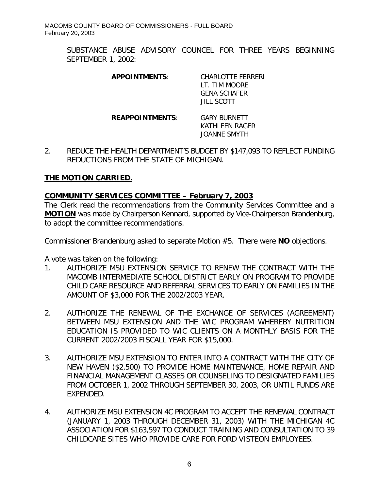> SUBSTANCE ABUSE ADVISORY COUNCEL FOR THREE YEARS BEGINNING SEPTEMBER 1, 2002:

| <b>APPOINTMENTS:</b>  | CHARI OTTF FFRRFRI<br>LT. TIM MOORF<br><b>GENA SCHAFFR</b><br>JIH SCOTT |
|-----------------------|-------------------------------------------------------------------------|
| <b>REAPPOINTMENTS</b> | <b>GARY BURNETT</b><br>KATHI FFN RAGFR<br><b>JOANNE SMYTH</b>           |

2. REDUCE THE HEALTH DEPARTMENT'S BUDGET BY \$147,093 TO REFLECT FUNDING REDUCTIONS FROM THE STATE OF MICHIGAN.

### **THE MOTION CARRIED.**

### *COMMUNITY SERVICES COMMITTEE – February 7, 2003*

The Clerk read the recommendations from the Community Services Committee and a **MOTION** was made by Chairperson Kennard, supported by Vice-Chairperson Brandenburg, to adopt the committee recommendations.

Commissioner Brandenburg asked to separate Motion #5. There were **NO** objections.

A vote was taken on the following:

- 1. AUTHORIZE MSU EXTENSION SERVICE TO RENEW THE CONTRACT WITH THE MACOMB INTERMEDIATE SCHOOL DISTRICT EARLY ON PROGRAM TO PROVIDE CHILD CARE RESOURCE AND REFERRAL SERVICES TO EARLY ON FAMILIES IN THE AMOUNT OF \$3,000 FOR THE 2002/2003 YEAR.
- 2. AUTHORIZE THE RENEWAL OF THE EXCHANGE OF SERVICES (AGREEMENT) BETWEEN MSU EXTENSION AND THE WIC PROGRAM WHEREBY NUTRITION EDUCATION IS PROVIDED TO WIC CLIENTS ON A MONTHLY BASIS FOR THE CURRENT 2002/2003 FISCALL YEAR FOR \$15,000.
- 3. AUTHORIZE MSU EXTENSION TO ENTER INTO A CONTRACT WITH THE CITY OF NEW HAVEN (\$2,500) TO PROVIDE HOME MAINTENANCE, HOME REPAIR AND FINANCIAL MANAGEMENT CLASSES OR COUNSELING TO DESIGNATED FAMILIES FROM OCTOBER 1, 2002 THROUGH SEPTEMBER 30, 2003, OR UNTIL FUNDS ARE EXPENDED.
- 4. AUTHORIZE MSU EXTENSION 4C PROGRAM TO ACCEPT THE RENEWAL CONTRACT (JANUARY 1, 2003 THROUGH DECEMBER 31, 2003) WITH THE MICHIGAN 4C ASSOCIATION FOR \$163,597 TO CONDUCT TRAINING AND CONSULTATION TO 39 CHILDCARE SITES WHO PROVIDE CARE FOR FORD VISTEON EMPLOYEES.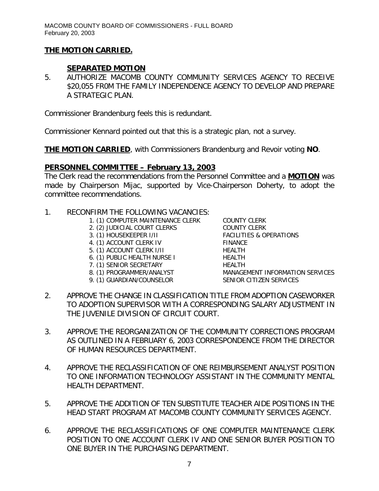# **THE MOTION CARRIED.**

# **SEPARATED MOTION**

5. AUTHORIZE MACOMB COUNTY COMMUNITY SERVICES AGENCY TO RECEIVE \$20,055 FR0M THE FAMILY INDEPENDENCE AGENCY TO DEVELOP AND PREPARE A STRATEGIC PLAN.

Commissioner Brandenburg feels this is redundant.

Commissioner Kennard pointed out that this is a strategic plan, not a survey.

**THE MOTION CARRIED**, with Commissioners Brandenburg and Revoir voting **NO**.

# *PERSONNEL COMMITTEE – February 13, 2003*

The Clerk read the recommendations from the Personnel Committee and a **MOTION** was made by Chairperson Mijac, supported by Vice-Chairperson Doherty, to adopt the committee recommendations.

- 1. RECONFIRM THE FOLLOWING VACANCIES:
	- 1. (1) COMPUTER MAINTENANCE CLERK COUNTY CLERK
	- 2. (2) JUDICIAL COURT CLERKS COUNTY CLERK
	-
	- 4. (1) ACCOUNT CLERK IV FINANCE
	- 5. (1) ACCOUNT CLERK I/II HEALTH
	- 6. (1) PUBLIC HEALTH NURSE I HEALTH
	- 7. (1) SENIOR SECRETARY HEALTH
	-
	- 9. (1) GUARDIAN/COUNSELOR SENIOR CITIZEN SERVICES

3. (1) HOUSEKEEPER I/II FACILITIES & OPERATIONS MANAGEMENT INFORMATION SERVICES

- 2. APPROVE THE CHANGE IN CLASSIFICATION TITLE FROM ADOPTION CASEWORKER TO ADOPTION SUPERVISOR WITH A CORRESPONDING SALARY ADJUSTMENT IN THE JUVENILE DIVISION OF CIRCUIT COURT.
- 3. APPROVE THE REORGANIZATION OF THE COMMUNITY CORRECTIONS PROGRAM AS OUTLINED IN A FEBRUARY 6, 2003 CORRESPONDENCE FROM THE DIRECTOR OF HUMAN RESOURCES DEPARTMENT.
- 4. APPROVE THE RECLASSIFICATION OF ONE REIMBURSEMENT ANALYST POSITION TO ONE INFORMATION TECHNOLOGY ASSISTANT IN THE COMMUNITY MENTAL HEALTH DEPARTMENT.
- 5. APPROVE THE ADDITION OF TEN SUBSTITUTE TEACHER AIDE POSITIONS IN THE HEAD START PROGRAM AT MACOMB COUNTY COMMUNITY SERVICES AGENCY.
- 6. APPROVE THE RECLASSIFICATIONS OF ONE COMPUTER MAINTENANCE CLERK POSITION TO ONE ACCOUNT CLERK IV AND ONE SENIOR BUYER POSITION TO ONE BUYER IN THE PURCHASING DEPARTMENT.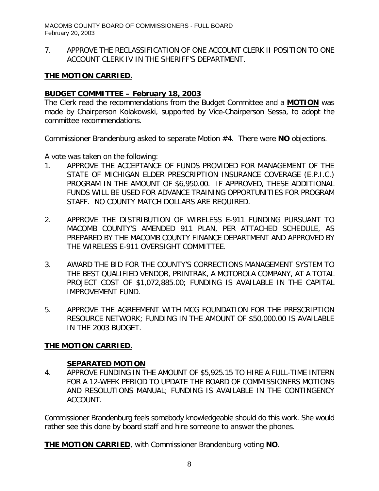7. APPROVE THE RECLASSIFICATION OF ONE ACCOUNT CLERK II POSITION TO ONE ACCOUNT CLERK IV IN THE SHERIFF'S DEPARTMENT.

### **THE MOTION CARRIED.**

#### *BUDGET COMMITTEE – February 18, 2003*

The Clerk read the recommendations from the Budget Committee and a **MOTION** was made by Chairperson Kolakowski, supported by Vice-Chairperson Sessa, to adopt the committee recommendations.

Commissioner Brandenburg asked to separate Motion #4. There were **NO** objections.

A vote was taken on the following:

- 1. APPROVE THE ACCEPTANCE OF FUNDS PROVIDED FOR MANAGEMENT OF THE STATE OF MICHIGAN ELDER PRESCRIPTION INSURANCE COVERAGE (E.P.I.C.) PROGRAM IN THE AMOUNT OF \$6,950.00. IF APPROVED, THESE ADDITIONAL FUNDS WILL BE USED FOR ADVANCE TRAINING OPPORTUNITIES FOR PROGRAM STAFF. NO COUNTY MATCH DOLLARS ARE REQUIRED.
- 2. APPROVE THE DISTRIBUTION OF WIRELESS E-911 FUNDING PURSUANT TO MACOMB COUNTY'S AMENDED 911 PLAN, PER ATTACHED SCHEDULE, AS PREPARED BY THE MACOMB COUNTY FINANCE DEPARTMENT AND APPROVED BY THE WIRELESS E-911 OVERSIGHT COMMITTEE.
- 3. AWARD THE BID FOR THE COUNTY'S CORRECTIONS MANAGEMENT SYSTEM TO THE BEST QUALIFIED VENDOR, PRINTRAK, A MOTOROLA COMPANY, AT A TOTAL PROJECT COST OF \$1,072,885.00; FUNDING IS AVAILABLE IN THE CAPITAL IMPROVEMENT FUND.
- 5. APPROVE THE AGREEMENT WITH MCG FOUNDATION FOR THE PRESCRIPTION RESOURCE NETWORK; FUNDING IN THE AMOUNT OF \$50,000.00 IS AVAILABLE IN THE 2003 BUDGET.

# **THE MOTION CARRIED.**

#### **SEPARATED MOTION**

4. APPROVE FUNDING IN THE AMOUNT OF \$5,925.15 TO HIRE A FULL-TIME INTERN FOR A 12-WEEK PERIOD TO UPDATE THE BOARD OF COMMISSIONERS MOTIONS AND RESOLUTIONS MANUAL; FUNDING IS AVAILABLE IN THE CONTINGENCY ACCOUNT.

Commissioner Brandenburg feels somebody knowledgeable should do this work. She would rather see this done by board staff and hire someone to answer the phones.

**THE MOTION CARRIED**, with Commissioner Brandenburg voting **NO**.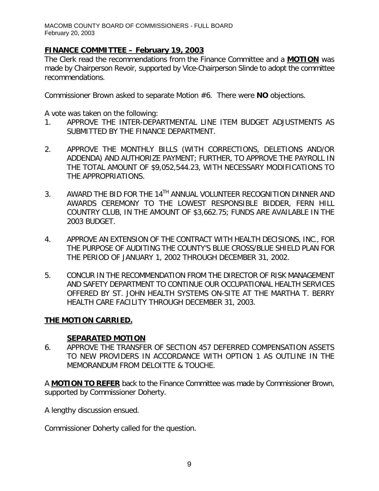# *FINANCE COMMITTEE – February 19, 2003*

The Clerk read the recommendations from the Finance Committee and a **MOTION** was made by Chairperson Revoir, supported by Vice-Chairperson Slinde to adopt the committee recommendations.

Commissioner Brown asked to separate Motion #6. There were **NO** objections.

A vote was taken on the following:

- 1. APPROVE THE INTER-DEPARTMENTAL LINE ITEM BUDGET ADJUSTMENTS AS SUBMITTED BY THE FINANCE DEPARTMENT.
- 2. APPROVE THE MONTHLY BILLS (WITH CORRECTIONS, DELETIONS AND/OR ADDENDA) AND AUTHORIZE PAYMENT; FURTHER, TO APPROVE THE PAYROLL IN THE TOTAL AMOUNT OF \$9,052,544.23, WITH NECESSARY MODIFICATIONS TO THE APPROPRIATIONS.
- 3. AWARD THE BID FOR THE 14<sup>TH</sup> ANNUAL VOLUNTEER RECOGNITION DINNER AND AWARDS CEREMONY TO THE LOWEST RESPONSIBLE BIDDER, FERN HILL COUNTRY CLUB, IN THE AMOUNT OF \$3,662.75; FUNDS ARE AVAILABLE IN THE 2003 BUDGET.
- 4. APPROVE AN EXTENSION OF THE CONTRACT WITH HEALTH DECISIONS, INC., FOR THE PURPOSE OF AUDITING THE COUNTY'S BLUE CROSS/BLUE SHIELD PLAN FOR THE PERIOD OF JANUARY 1, 2002 THROUGH DECEMBER 31, 2002.
- 5. CONCUR IN THE RECOMMENDATION FROM THE DIRECTOR OF RISK MANAGEMENT AND SAFETY DEPARTMENT TO CONTINUE OUR OCCUPATIONAL HEALTH SERVICES OFFERED BY ST. JOHN HEALTH SYSTEMS ON-SITE AT THE MARTHA T. BERRY HEALTH CARE FACILITY THROUGH DECEMBER 31, 2003.

# **THE MOTION CARRIED.**

# **SEPARATED MOTION**

6. APPROVE THE TRANSFER OF SECTION 457 DEFERRED COMPENSATION ASSETS TO NEW PROVIDERS IN ACCORDANCE WITH OPTION 1 AS OUTLINE IN THE MEMORANDUM FROM DELOITTE & TOUCHE.

A **MOTION TO REFER** back to the Finance Committee was made by Commissioner Brown, supported by Commissioner Doherty.

A lengthy discussion ensued.

Commissioner Doherty called for the question.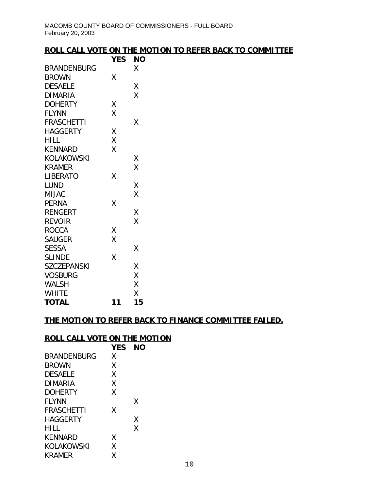### **ROLL CALL VOTE ON THE MOTION TO REFER BACK TO COMMITTEE**

|                    | <b>YES</b> | ΝO |
|--------------------|------------|----|
| BRANDENBURG        |            | Χ  |
| <b>BROWN</b>       | Χ          |    |
| <b>DESAELE</b>     |            | Χ  |
| <b>DIMARIA</b>     |            | X  |
| <b>DOHERTY</b>     | Χ          |    |
| <b>FLYNN</b>       | X          |    |
| <b>FRASCHETTI</b>  |            | Χ  |
| <b>HAGGERTY</b>    | Χ          |    |
| <b>HILL</b>        | Χ          |    |
| <b>KENNARD</b>     | X          |    |
| KOLAKOWSKI         |            | Χ  |
| <b>KRAMER</b>      |            | Χ  |
| LIBERATO           | Χ          |    |
| LUND               |            | Χ  |
| <b>MIJAC</b>       |            | Χ  |
| <b>PERNA</b>       | X          |    |
| <b>RENGERT</b>     |            | Χ  |
| <b>REVOIR</b>      |            | X  |
| <b>ROCCA</b>       | Χ          |    |
| <b>SAUGER</b>      | X          |    |
| <b>SESSA</b>       |            | Χ  |
| <b>SLINDE</b>      | X          |    |
| <b>SZCZEPANSKI</b> |            | Χ  |
| <b>VOSBURG</b>     |            | Χ  |
| WALSH              |            | Χ  |
| <b>WHITE</b>       |            | Χ  |
| <b>TOTAL</b>       | 11         | 15 |

### **THE MOTION TO REFER BACK TO FINANCE COMMITTEE FAILED.**

### **ROLL CALL VOTE ON THE MOTION**

|                   | <b>YES</b> | NΟ |
|-------------------|------------|----|
| BRANDENBURG       | X          |    |
| <b>BROWN</b>      | Χ          |    |
| <b>DESAELE</b>    | Χ          |    |
| DIMARIA           | Χ          |    |
| <b>DOHERTY</b>    | Χ          |    |
| <b>FLYNN</b>      |            | X  |
| <b>FRASCHETTI</b> | X          |    |
| HAGGFRTY          |            | Χ  |
| HILL              |            | Χ  |
| KENNARD           | χ          |    |
| KOLAKOWSKI        | Χ          |    |
| KRAMER            | χ          |    |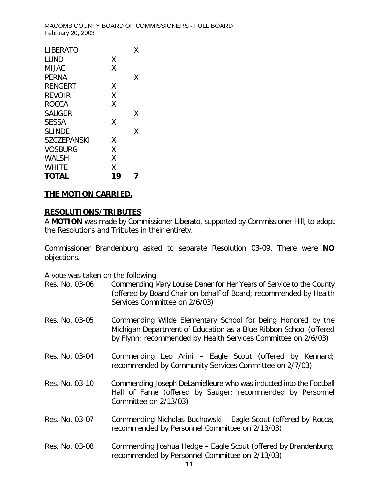| <b>LIBERATO</b>    |    | x |
|--------------------|----|---|
| LUND               | Χ  |   |
| <b>MIJAC</b>       | X  |   |
| <b>PERNA</b>       |    | x |
| RENGERT            | Χ  |   |
| <b>REVOIR</b>      | X  |   |
| <b>ROCCA</b>       | X  |   |
| <b>SAUGER</b>      |    | Χ |
| <b>SESSA</b>       | Χ  |   |
| <b>SLINDE</b>      |    | χ |
| <b>SZCZEPANSKI</b> | χ  |   |
| <b>VOSBURG</b>     | X  |   |
| <b>WALSH</b>       | X  |   |
| WHITE              | X  |   |
| TOTAL              | 19 |   |
|                    |    |   |

# **THE MOTION CARRIED.**

#### **RESOLUTIONS/TRIBUTES**

A **MOTION** was made by Commissioner Liberato, supported by Commissioner Hill, to adopt the Resolutions and Tributes in their entirety.

Commissioner Brandenburg asked to separate Resolution 03-09. There were **NO** objections.

A vote was taken on the following

- Res. No. 03-06 Commending Mary Louise Daner for Her Years of Service to the County (offered by Board Chair on behalf of Board; recommended by Health Services Committee on 2/6/03)
- Res. No. 03-05 Commending Wilde Elementary School for being Honored by the Michigan Department of Education as a Blue Ribbon School (offered by Flynn; recommended by Health Services Committee on 2/6/03)
- Res. No. 03-04 Commending Leo Arini Eagle Scout (offered by Kennard; recommended by Community Services Committee on 2/7/03)

Res. No. 03-10 Commending Joseph DeLamielleure who was inducted into the Football Hall of Fame (offered by Sauger; recommended by Personnel Committee on 2/13/03)

- Res. No. 03-07 Commending Nicholas Buchowski Eagle Scout (offered by Rocca; recommended by Personnel Committee on 2/13/03)
- Res. No. 03-08 Commending Joshua Hedge Eagle Scout (offered by Brandenburg; recommended by Personnel Committee on 2/13/03)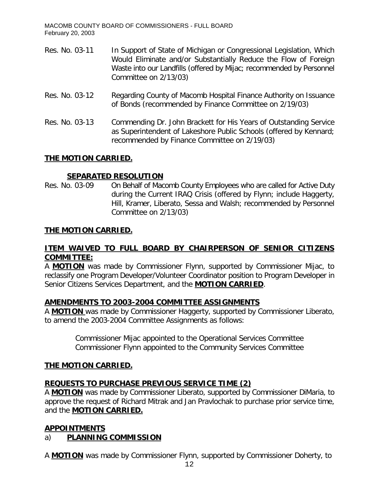- Res. No. 03-11 In Support of State of Michigan or Congressional Legislation, Which Would Eliminate and/or Substantially Reduce the Flow of Foreign Waste into our Landfills (offered by Mijac; recommended by Personnel Committee on 2/13/03)
- Res. No. 03-12 Regarding County of Macomb Hospital Finance Authority on Issuance of Bonds (recommended by Finance Committee on 2/19/03)
- Res. No. 03-13 Commending Dr. John Brackett for His Years of Outstanding Service as Superintendent of Lakeshore Public Schools (offered by Kennard; recommended by Finance Committee on 2/19/03)

# **THE MOTION CARRIED.**

# **SEPARATED RESOLUTION**

Res. No. 03-09 On Behalf of Macomb County Employees who are called for Active Duty during the Current IRAQ Crisis (offered by Flynn; include Haggerty, Hill, Kramer, Liberato, Sessa and Walsh; recommended by Personnel Committee on 2/13/03)

# **THE MOTION CARRIED.**

# **ITEM WAIVED TO FULL BOARD BY CHAIRPERSON OF SENIOR CITIZENS COMMITTEE:**

A **MOTION** was made by Commissioner Flynn, supported by Commissioner Mijac, to reclassify one Program Developer/Volunteer Coordinator position to Program Developer in Senior Citizens Services Department, and the **MOTION CARRIED**.

#### **AMENDMENTS TO 2003-2004 COMMITTEE ASSIGNMENTS**

A **MOTION** was made by Commissioner Haggerty, supported by Commissioner Liberato, to amend the 2003-2004 Committee Assignments as follows:

> Commissioner Mijac appointed to the Operational Services Committee Commissioner Flynn appointed to the Community Services Committee

#### **THE MOTION CARRIED.**

# **REQUESTS TO PURCHASE PREVIOUS SERVICE TIME (2)**

A **MOTION** was made by Commissioner Liberato, supported by Commissioner DiMaria, to approve the request of Richard Mitrak and Jan Pravlochak to purchase prior service time, and the **MOTION CARRIED.**

# **APPOINTMENTS**

# a) **PLANNING COMMISSION**

A **MOTION** was made by Commissioner Flynn, supported by Commissioner Doherty, to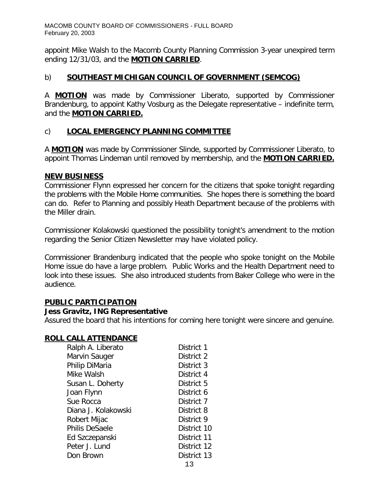appoint Mike Walsh to the Macomb County Planning Commission 3-year unexpired term ending 12/31/03, and the **MOTION CARRIED**.

### b) **SOUTHEAST MICHIGAN COUNCIL OF GOVERNMENT (SEMCOG)**

A **MOTION** was made by Commissioner Liberato, supported by Commissioner Brandenburg, to appoint Kathy Vosburg as the Delegate representative – indefinite term, and the **MOTION CARRIED.**

### c) **LOCAL EMERGENCY PLANNING COMMITTEE**

A **MOTION** was made by Commissioner Slinde, supported by Commissioner Liberato, to appoint Thomas Lindeman until removed by membership, and the **MOTION CARRIED.**

#### **NEW BUSINESS**

Commissioner Flynn expressed her concern for the citizens that spoke tonight regarding the problems with the Mobile Home communities. She hopes there is something the board can do. Refer to Planning and possibly Heath Department because of the problems with the Miller drain.

Commissioner Kolakowski questioned the possibility tonight's amendment to the motion regarding the Senior Citizen Newsletter may have violated policy.

Commissioner Brandenburg indicated that the people who spoke tonight on the Mobile Home issue do have a large problem. Public Works and the Health Department need to look into these issues. She also introduced students from Baker College who were in the audience.

#### **PUBLIC PARTICIPATION**

#### *Jess Gravitz, ING Representative*

Assured the board that his intentions for coming here tonight were sincere and genuine.

#### **ROLL CALL ATTENDANCE**

| Ralph A. Liberato     | District 1  |
|-----------------------|-------------|
| Marvin Sauger         | District 2  |
| Philip DiMaria        | District 3  |
| Mike Walsh            | District 4  |
| Susan L. Doherty      | District 5  |
| Joan Flynn            | District 6  |
| Sue Rocca             | District 7  |
| Diana J. Kolakowski   | District 8  |
| Robert Mijac          | District 9  |
| <b>Philis DeSaele</b> | District 10 |
| Ed Szczepanski        | District 11 |
| Peter J. Lund         | District 12 |
| Don Brown             | District 13 |
|                       | - -         |